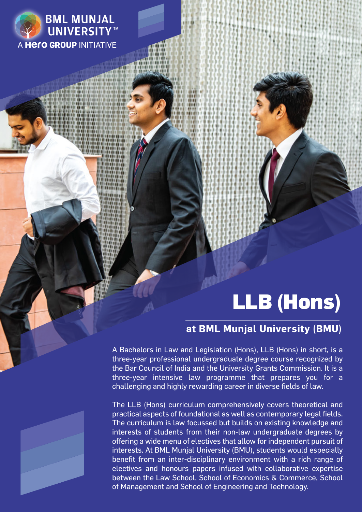

# LLB (Hons)

### **at BML Munjal University (BMU)**

A Bachelors in Law and Legislation (Hons), LLB (Hons) in short, is a three-year professional undergraduate degree course recognized by the Bar Council of India and the University Grants Commission. It is a three-year intensive law programme that prepares you for a challenging and highly rewarding career in diverse fields of law.

The LLB (Hons) curriculum comprehensively covers theoretical and practical aspects of foundational as well as contemporary legal fields. The curriculum is law focussed but builds on existing knowledge and interests of students from their non-law undergraduate degrees by offering a wide menu of electives that allow for independent pursuit of interests. At BML Munjal University (BMU), students would especially benefit from an inter-disciplinary environment with a rich range of electives and honours papers infused with collaborative expertise between the Law School, School of Economics & Commerce, School of Management and School of Engineering and Technology.